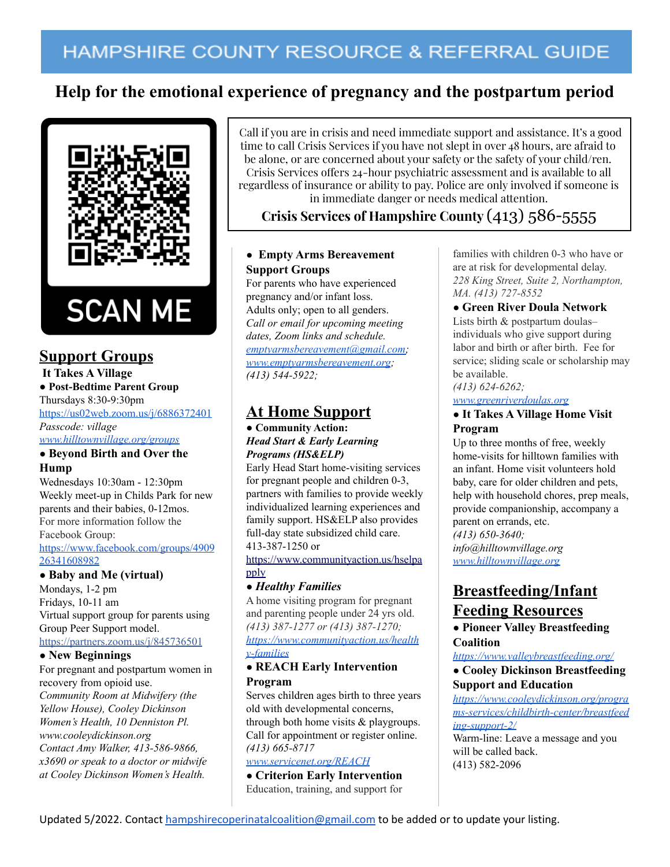# HAMPSHIRE COUNTY RESOURCE & REFERRAL GUIDE

# **Help for the emotional experience of pregnancy and the postpartum period**



## **Support Groups**

#### **It Takes A Village ● Post-Bedtime Parent Group**

## Thursdays 8:30-9:30pm

<https://us02web.zoom.us/j/6886372401> *Passcode: village*

*[www.hilltownvillage.org/groups](http://www.hilltownvillage.org/groups)*

### **● Beyond Birth and Over the Hump**

Wednesdays 10:30am - 12:30pm Weekly meet-up in Childs Park for new parents and their babies, 0-12mos. For more information follow the Facebook Group: [https://www.facebook.com/groups/4909](https://www.facebook.com/groups/490926341608982) [26341608982](https://www.facebook.com/groups/490926341608982)

### **● Baby and Me (virtual)**

Mondays, 1-2 pm Fridays, 10-11 am Virtual support group for parents using Group Peer Support model. [https://partners.zoom.us/j/845736501](https://partners.zoom.us/j/845736501?fbclid=IwAR3aSUx_wVoxZBJCIeLt2-VzFKKPEISQUsHsr1SBY7QV7u5N-a2E25g-4sQ)

#### **● New Beginnings**

For pregnant and postpartum women in recovery from opioid use. *Community Room at Midwifery (the Yellow House), Cooley Dickinson Women's Health, 10 Denniston Pl. www.cooleydickinson.org Contact Amy Walker, 413-586-9866, x3690 or speak to a doctor or midwife at Cooley Dickinson Women's Health.*

Call if you are in crisis and need immediate support and assistance. It's a good time to call Crisis Services if you have not slept in over 48 hours, are afraid to be alone, or are concerned about your safety or the safety of your child/ren. Crisis Services offers 24-hour psychiatric assessment and is available to all regardless of insurance or ability to pay. Police are only involved if someone is in immediate danger or needs medical attention.

## **Crisis Services of Hampshire County** (413) 586-5555

## **● Empty Arms Bereavement Support Groups**

For parents who have experienced pregnancy and/or infant loss. Adults only; open to all genders. *Call or email for upcoming meeting dates, Zoom links and schedule. [emptyarmsbereavement@gmail.com;](mailto:emptyarmsbereavement@gmail.com) [www.emptyarmsbereavement.org](http://www.emptyarmsbereavement.org); (413) 544-5922;*

## **At Home Support**

#### **● Community Action:** *Head Start & Early Learning Programs (HS&ELP)*

Early Head Start home-visiting services for pregnant people and children 0-3, partners with families to provide weekly individualized learning experiences and family support. HS&ELP also provides full-day state subsidized child care. 413-387-1250 or

[https://www.communityaction.us/hselpa](https://www.communityaction.us/hselpapply) [pply](https://www.communityaction.us/hselpapply)

### **●** *Healthy Families*

A home visiting program for pregnant and parenting people under 24 yrs old. *(413) 387-1277 or (413) 387-1270; [https://www.communityaction.us/health](https://www.communityaction.us/healthy-families) [y-families](https://www.communityaction.us/healthy-families)*

#### **● REACH Early Intervention Program**

Serves children ages birth to three years old with developmental concerns, through both home visits & playgroups. Call for appointment or register online. *(413) 665-8717*

## *[www.servicenet.org/REACH](http://www.servicenet.org/REACH)*

**● Criterion Early Intervention** Education, training, and support for

families with children 0-3 who have or are at risk for developmental delay. *228 King Street, Suite 2, Northampton, MA. (413) 727-8552*

## **● Green River Doula Network**

Lists birth & postpartum doulas– individuals who give support during labor and birth or after birth. Fee for service; sliding scale or scholarship may be available.

### *(413) 624-6262;*

*[www.greenriverdoulas.org](http://www.greenriverdoulas.org)*

#### **● It Takes A Village Home Visit Program**

Up to three months of free, weekly home-visits for hilltown families with an infant. Home visit volunteers hold baby, care for older children and pets, help with household chores, prep meals, provide companionship, accompany a parent on errands, etc. *(413) 650-3640; info@hilltownvillage.org [www.hilltownvillage.org](http://www.hilltownvillage.org)*

# **Breastfeeding/Infant Feeding Resources**

**● Pioneer Valley Breastfeeding Coalition**

#### *<https://www.valleybreastfeeding.org/>*

**● Cooley Dickinson Breastfeeding Support and Education**

*[https://www.cooleydickinson.org/progra](https://www.cooleydickinson.org/programs-services/childbirth-center/breastfeeding-support-2/) [ms-services/childbirth-center/breastfeed](https://www.cooleydickinson.org/programs-services/childbirth-center/breastfeeding-support-2/) [ing-support-2/](https://www.cooleydickinson.org/programs-services/childbirth-center/breastfeeding-support-2/)*

Warm-line: Leave a message and you will be called back. (413) 582-2096